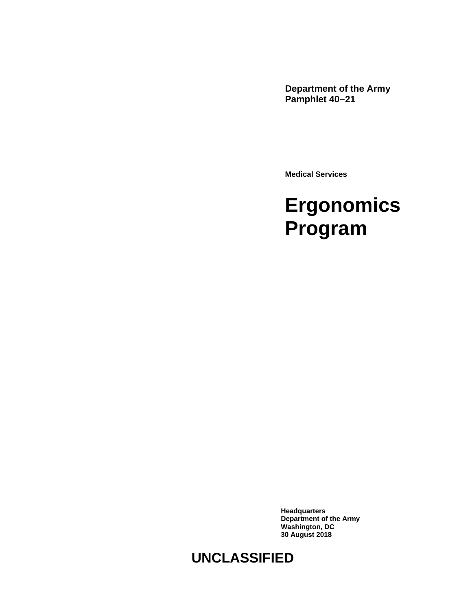**Department of the Army Pamphlet 40–21**

**Medical Services**

# **Ergonomics Program**

**Headquarters Department of the Army Washington, DC 30 August 2018**

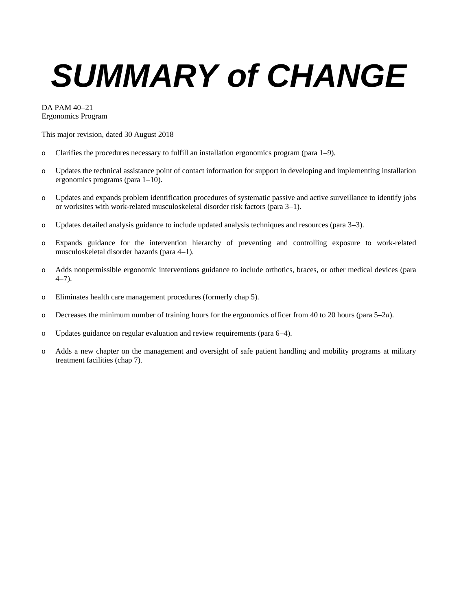# *SUMMARY of CHANGE*

DA PAM 40–21 Ergonomics Program

This major revision, dated 30 August 2018—

- o Clarifies the procedures necessary to fulfill an installation ergonomics program [\(para 1–9\)](#page-5-0).
- o Updates the technical assistance point of contact information for support in developing and implementing installation ergonomics programs [\(para 1–10\)](#page-6-0).
- o Updates and expands problem identification procedures of systematic passive and active surveillance to identify jobs or worksites with work-related musculoskeletal disorder risk factors [\(para 3–1\)](#page-7-0).
- o Updates detailed analysis guidance to include updated analysis techniques and resources [\(para 3–3\)](#page-8-0).
- o Expands guidance for the intervention hierarchy of preventing and controlling exposure to work-related musculoskeletal disorder hazards [\(para 4–1\)](#page-9-0).
- o Adds nonpermissible ergonomic interventions guidance to include orthotics, braces, or other medical devices [\(para](#page-10-0)   $4-7$ ).
- o Eliminates health care management procedures (formerly [chap 5\)](#page-10-1).
- o Decreases the minimum number of training hours for the ergonomics officer from 40 to 20 hours [\(para 5–2](#page-11-0)*a*).
- o Updates guidance on regular evaluation and review requirements [\(para 6–4\)](#page-12-0).
- o Adds a new chapter on the management and oversight of safe patient handling and mobility programs at military treatment facilities [\(chap 7\)](#page-12-1).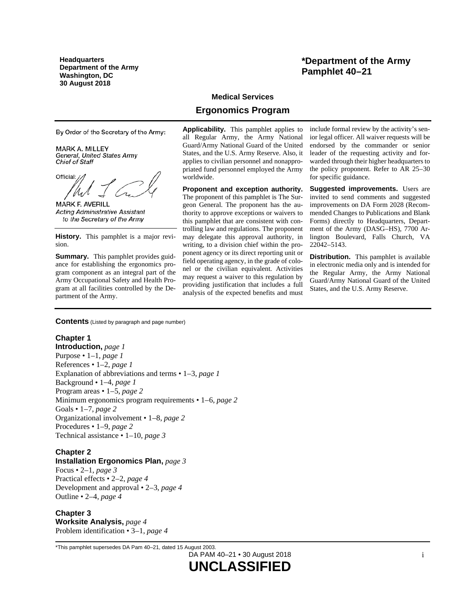**Headquarters Department of the Army Washington, DC 30 August 2018**

By Order of the Secretary of the Army:

MARK A. MILLEY General, United States Army **Chief of Staff** 

Official:

MARK F. AVERILL **Acting Administrative Assistant** to the Secretary of the Army

**History.** This pamphlet is a major revision.

**Summary.** This pamphlet provides guidance for establishing the ergonomics program component as an integral part of the Army Occupational Safety and Health Program at all facilities controlled by the Department of the Army.

## **\*Department of the Army Pamphlet 40–21**

## **Medical Services**

## **Ergonomics Program**

**Applicability.** This pamphlet applies to all Regular Army, the Army National Guard/Army National Guard of the United States, and the U.S. Army Reserve. Also, it applies to civilian personnel and nonappropriated fund personnel employed the Army worldwide.

**Proponent and exception authority.** The proponent of this pamphlet is The Surgeon General. The proponent has the authority to approve exceptions or waivers to this pamphlet that are consistent with controlling law and regulations. The proponent may delegate this approval authority, in writing, to a division chief within the proponent agency or its direct reporting unit or field operating agency, in the grade of colonel or the civilian equivalent. Activities may request a waiver to this regulation by providing justification that includes a full analysis of the expected benefits and must include formal review by the activity's senior legal officer. All waiver requests will be endorsed by the commander or senior leader of the requesting activity and forwarded through their higher headquarters to the policy proponent. Refer to AR 25–30 for specific guidance.

**Suggested improvements.** Users are invited to send comments and suggested improvements on DA Form 2028 (Recommended Changes to Publications and Blank Forms) directly to Headquarters, Department of the Army (DASG–HS), 7700 Arlington Boulevard, Falls Church, VA 22042–5143.

**Distribution.** This pamphlet is available in electronic media only and is intended for the Regular Army, the Army National Guard/Army National Guard of the United States, and the U.S. Army Reserve.

**Contents** (Listed by paragraph and page number)

## **Chapter 1**

**Introduction,** *page [1](#page-4-0)* Purpose • 1–1, *page [1](#page-4-1)* References • 1–2, *page [1](#page-4-2)* Explanation of abbreviations and terms • 1–3, *page [1](#page-4-3)* Background • 1–4, *page [1](#page-4-4)* Program areas • 1–5, *page [2](#page-5-1)* Minimum ergonomics program requirements • 1–6, *page [2](#page-5-2)* Goals • 1–7, *page [2](#page-5-3)* Organizational involvement • 1–8, *page [2](#page-5-4)* Procedures • 1–9, *page [2](#page-5-0)* Technical assistance • 1–10, *page [3](#page-6-0)*

## **Chapter 2**

#### **Installation Ergonomics Plan,** *page [3](#page-6-1)*

Focus • 2–1, *page [3](#page-6-2)* Practical effects • 2–2, *page [4](#page-7-1)* Development and approval • 2–3, *page [4](#page-7-2)* Outline • 2–4, *page [4](#page-7-3)*

#### **Chapter 3 Worksite Analysis,** *page [4](#page-7-4)* Problem identification • 3–1, *page [4](#page-7-0)*

\*This pamphlet supersedes DA Pam 40–21, dated 15 August 2003.

DA PAM 40–21 • 30 August 2018 **UNCLASSIFIED**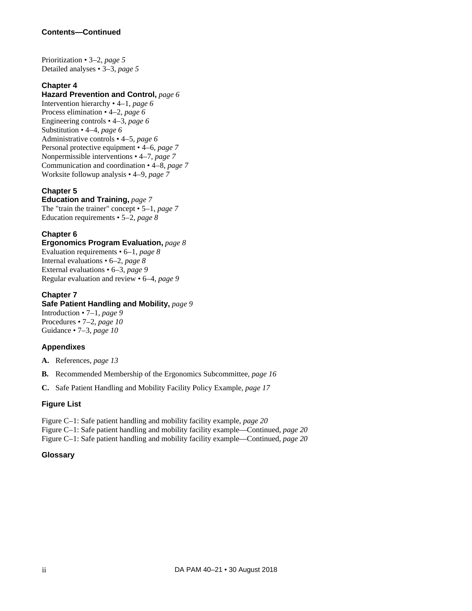## **Contents—Continued**

Prioritization • 3–2, *page [5](#page-8-1)* Detailed analyses • 3–3, *page [5](#page-8-0)*

## **Chapter 4**

## **Hazard Prevention and Control,** *page [6](#page-9-1)*

Intervention hierarchy • 4–1, *page [6](#page-9-0)* Process elimination • 4–2, *page [6](#page-9-2)* Engineering controls • 4–3, *page [6](#page-9-3)* Substitution • 4–4, *page [6](#page-9-4)* Administrative controls • 4–5, *page [6](#page-9-5)* Personal protective equipment • 4–6, *page [7](#page-10-2)* Nonpermissible interventions • 4–7, *page [7](#page-10-0)* Communication and coordination • 4–8, *page [7](#page-10-3)* Worksite followup analysis • 4–9, *page [7](#page-10-4)*

## **Chapter 5**

**Education and Training,** *page [7](#page-10-1)* The "train the trainer" concept • 5–1, *page [7](#page-10-5)* Education requirements • 5–2, *page [8](#page-11-1)*

## **Chapter 6**

**Ergonomics Program Evaluation,** *page [8](#page-11-2)* Evaluation requirements • 6–1, *page [8](#page-11-3)* Internal evaluations • 6–2, *page [8](#page-11-4)* External evaluations • 6–3, *page [9](#page-12-2)* Regular evaluation and review • 6–4, *page [9](#page-12-0)*

## **Chapter 7**

## **Safe Patient Handling and Mobility,** *page [9](#page-12-1)*

Introduction • 7–1, *page [9](#page-12-3)* Procedures • 7–2, *page [10](#page-13-0)* Guidance • 7–3, *page [10](#page-13-1)*

## **Appendixes**

**A.** References, *page [13](#page-16-0)*

- **B.** Recommended Membership of the Ergonomics Subcommittee, *page [16](#page-19-0)*
- **C.** Safe Patient Handling and Mobility Facility Policy Example, *page [17](#page-20-0)*

## **Figure List**

Figure C–1: Safe patient handling and mobility facility example, *page [20](#page-23-0)* Figure C–1: Safe patient handling and mobility facility example—Continued, *page [20](#page-23-0)*

Figure C–1: Safe patient handling and mobility facility example—Continued, *page [20](#page-23-0)*

## **Glossary**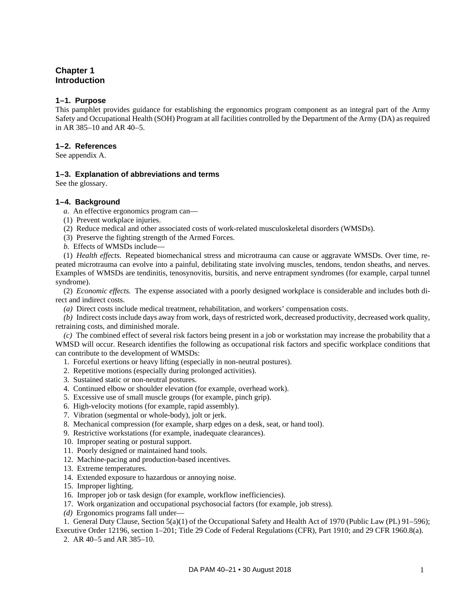## <span id="page-4-0"></span>**Chapter 1 Introduction**

#### <span id="page-4-1"></span>**1–1. Purpose**

This pamphlet provides guidance for establishing the ergonomics program component as an integral part of the Army Safety and Occupational Health (SOH) Program at all facilities controlled by the Department of the Army (DA) as required in AR 385–10 and AR 40–5.

#### <span id="page-4-2"></span>**1–2. References**

<span id="page-4-3"></span>See [appendix A.](#page-16-0)

#### **1–3. Explanation of abbreviations and terms**

<span id="page-4-4"></span>See th[e glossary.](#page-24-0)

#### **1–4. Background**

- *a.* An effective ergonomics program can—
- (1) Prevent workplace injuries.
- (2) Reduce medical and other associated costs of work-related musculoskeletal disorders (WMSDs).
- (3) Preserve the fighting strength of the Armed Forces.
- <span id="page-4-5"></span>*b.* Effects of WMSDs include—

(1) *Health effects.* Repeated biomechanical stress and microtrauma can cause or aggravate WMSDs. Over time, repeated microtrauma can evolve into a painful, debilitating state involving muscles, tendons, tendon sheaths, and nerves. Examples of WMSDs are tendinitis, tenosynovitis, bursitis, and nerve entrapment syndromes (for example, carpal tunnel syndrome).

(2) *Economic effects.* The expense associated with a poorly designed workplace is considerable and includes both direct and indirect costs.

*(a)* Direct costs include medical treatment, rehabilitation, and workers' compensation costs.

*(b)* Indirect costs include days away from work, days of restricted work, decreased productivity, decreased work quality, retraining costs, and diminished morale.

*(c)* The combined effect of several risk factors being present in a job or workstation may increase the probability that a WMSD will occur. Research identifies the following as occupational risk factors and specific workplace conditions that can contribute to the development of WMSDs:

- 1. Forceful exertions or heavy lifting (especially in non-neutral postures).
- 2. Repetitive motions (especially during prolonged activities).
- 3. Sustained static or non-neutral postures.
- 4. Continued elbow or shoulder elevation (for example, overhead work).
- 5. Excessive use of small muscle groups (for example, pinch grip).
- 6. High-velocity motions (for example, rapid assembly).
- 7. Vibration (segmental or whole-body), jolt or jerk.
- 8. Mechanical compression (for example, sharp edges on a desk, seat, or hand tool).
- 9. Restrictive workstations (for example, inadequate clearances).
- 10. Improper seating or postural support.
- 11. Poorly designed or maintained hand tools.
- 12. Machine-pacing and production-based incentives.
- 13. Extreme temperatures.
- 14. Extended exposure to hazardous or annoying noise.
- 15. Improper lighting.
- 16. Improper job or task design (for example, workflow inefficiencies).
- 17. Work organization and occupational psychosocial factors (for example, job stress).
- *(d)* Ergonomics programs fall under—

1. General Duty Clause, Section 5(a)(1) of the Occupational Safety and Health Act of 1970 (Public Law (PL) 91–596); Executive Order 12196, section 1–201; Title 29 Code of Federal Regulations (CFR), Part 1910; and 29 CFR 1960.8(a).

2. AR 40–5 and AR 385–10.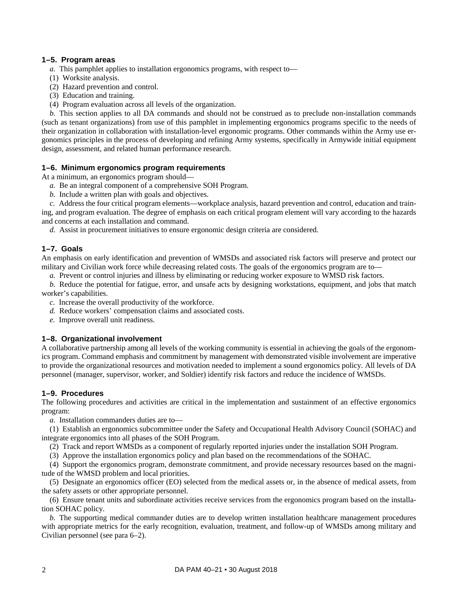## <span id="page-5-1"></span>**1–5. Program areas**

*a.* This pamphlet applies to installation ergonomics programs, with respect to—

- (1) Worksite analysis.
- (2) Hazard prevention and control.
- (3) Education and training.
- (4) Program evaluation across all levels of the organization.

*b.* This section applies to all DA commands and should not be construed as to preclude non-installation commands (such as tenant organizations) from use of this pamphlet in implementing ergonomics programs specific to the needs of their organization in collaboration with installation-level ergonomic programs. Other commands within the Army use ergonomics principles in the process of developing and refining Army systems, specifically in Armywide initial equipment design, assessment, and related human performance research.

## <span id="page-5-2"></span>**1–6. Minimum ergonomics program requirements**

At a minimum, an ergonomics program should—

- *a.* Be an integral component of a comprehensive SOH Program.
- *b.* Include a written plan with goals and objectives.

*c.* Address the four critical program elements—workplace analysis, hazard prevention and control, education and training, and program evaluation. The degree of emphasis on each critical program element will vary according to the hazards and concerns at each installation and command.

*d.* Assist in procurement initiatives to ensure ergonomic design criteria are considered.

## <span id="page-5-3"></span>**1–7. Goals**

An emphasis on early identification and prevention of WMSDs and associated risk factors will preserve and protect our military and Civilian work force while decreasing related costs. The goals of the ergonomics program are to—

*a.* Prevent or control injuries and illness by eliminating or reducing worker exposure to WMSD risk factors.

*b.* Reduce the potential for fatigue, error, and unsafe acts by designing workstations, equipment, and jobs that match worker's capabilities.

- *c.* Increase the overall productivity of the workforce.
- *d.* Reduce workers' compensation claims and associated costs.
- *e.* Improve overall unit readiness.

## <span id="page-5-4"></span>**1–8. Organizational involvement**

A collaborative partnership among all levels of the working community is essential in achieving the goals of the ergonomics program. Command emphasis and commitment by management with demonstrated visible involvement are imperative to provide the organizational resources and motivation needed to implement a sound ergonomics policy. All levels of DA personnel (manager, supervisor, worker, and Soldier) identify risk factors and reduce the incidence of WMSDs.

## <span id="page-5-0"></span>**1–9. Procedures**

The following procedures and activities are critical in the implementation and sustainment of an effective ergonomics program:

*a.* Installation commanders duties are to—

(1) Establish an ergonomics subcommittee under the Safety and Occupational Health Advisory Council (SOHAC) and integrate ergonomics into all phases of the SOH Program.

(2) Track and report WMSDs as a component of regularly reported injuries under the installation SOH Program.

(3) Approve the installation ergonomics policy and plan based on the recommendations of the SOHAC.

(4) Support the ergonomics program, demonstrate commitment, and provide necessary resources based on the magnitude of the WMSD problem and local priorities.

(5) Designate an ergonomics officer (EO) selected from the medical assets or, in the absence of medical assets, from the safety assets or other appropriate personnel.

(6) Ensure tenant units and subordinate activities receive services from the ergonomics program based on the installation SOHAC policy.

*b.* The supporting medical commander duties are to develop written installation healthcare management procedures with appropriate metrics for the early recognition, evaluation, treatment, and follow-up of WMSDs among military and Civilian personnel (se[e para](#page-11-4) 6–2).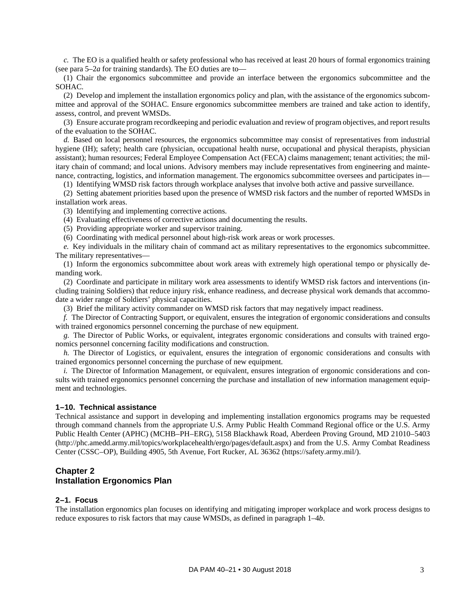*c.* The EO is a qualified health or safety professional who has received at least 20 hours of formal ergonomics training (se[e para](#page-11-0) 5–2*a* for training standards). The EO duties are to—

(1) Chair the ergonomics subcommittee and provide an interface between the ergonomics subcommittee and the SOHAC.

(2) Develop and implement the installation ergonomics policy and plan, with the assistance of the ergonomics subcommittee and approval of the SOHAC. Ensure ergonomics subcommittee members are trained and take action to identify, assess, control, and prevent WMSDs.

(3) Ensure accurate program recordkeeping and periodic evaluation and review of program objectives, and report results of the evaluation to the SOHAC.

*d.* Based on local personnel resources, the ergonomics subcommittee may consist of representatives from industrial hygiene (IH); safety; health care (physician, occupational health nurse, occupational and physical therapists, physician assistant); human resources; Federal Employee Compensation Act (FECA) claims management; tenant activities; the military chain of command; and local unions. Advisory members may include representatives from engineering and maintenance, contracting, logistics, and information management. The ergonomics subcommittee oversees and participates in—

(1) Identifying WMSD risk factors through workplace analyses that involve both active and passive surveillance.

(2) Setting abatement priorities based upon the presence of WMSD risk factors and the number of reported WMSDs in installation work areas.

(3) Identifying and implementing corrective actions.

(4) Evaluating effectiveness of corrective actions and documenting the results.

(5) Providing appropriate worker and supervisor training.

(6) Coordinating with medical personnel about high-risk work areas or work processes.

*e.* Key individuals in the military chain of command act as military representatives to the ergonomics subcommittee. The military representatives—

(1) Inform the ergonomics subcommittee about work areas with extremely high operational tempo or physically demanding work.

(2) Coordinate and participate in military work area assessments to identify WMSD risk factors and interventions (including training Soldiers) that reduce injury risk, enhance readiness, and decrease physical work demands that accommodate a wider range of Soldiers' physical capacities.

(3) Brief the military activity commander on WMSD risk factors that may negatively impact readiness.

*f.* The Director of Contracting Support, or equivalent, ensures the integration of ergonomic considerations and consults with trained ergonomics personnel concerning the purchase of new equipment.

*g.* The Director of Public Works, or equivalent, integrates ergonomic considerations and consults with trained ergonomics personnel concerning facility modifications and construction.

*h.* The Director of Logistics, or equivalent, ensures the integration of ergonomic considerations and consults with trained ergonomics personnel concerning the purchase of new equipment.

*i.* The Director of Information Management, or equivalent, ensures integration of ergonomic considerations and consults with trained ergonomics personnel concerning the purchase and installation of new information management equipment and technologies.

#### <span id="page-6-0"></span>**1–10. Technical assistance**

Technical assistance and support in developing and implementing installation ergonomics programs may be requested through command channels from the appropriate U.S. Army Public Health Command Regional office or the U.S. Army Public Health Center (APHC) (MCHB–PH–ERG), 5158 Blackhawk Road, Aberdeen Proving Ground, MD 21010–5403 [\(http://phc.amedd.army.mil/topics/workplacehealth/ergo/pages/default.aspx\)](http://phc.amedd.army.mil/topics/workplacehealth/ergo/pages/default.aspx) and from the U.S. Army Combat Readiness Center (CSSC–OP), Building 4905, 5th Avenue, Fort Rucker, AL 36362 [\(https://safety.army.mil/\)](https://safety.army.mil/).

## <span id="page-6-1"></span>**Chapter 2 Installation Ergonomics Plan**

#### <span id="page-6-2"></span>**2–1. Focus**

The installation ergonomics plan focuses on identifying and mitigating improper workplace and work process designs to reduce exposures to risk factors that may cause WMSDs, as defined i[n paragraph 1–4](#page-4-5)*b*.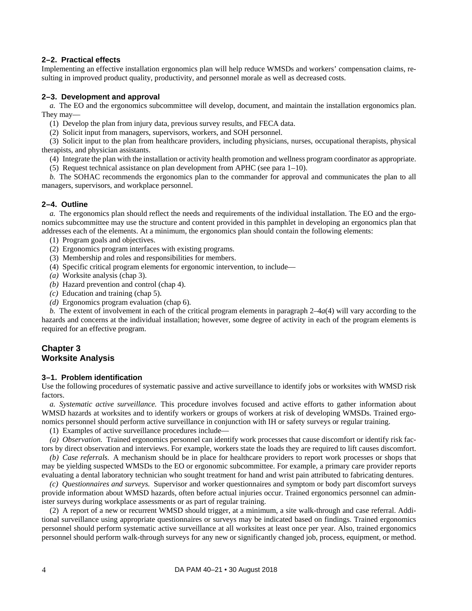## <span id="page-7-1"></span>**2–2. Practical effects**

Implementing an effective installation ergonomics plan will help reduce WMSDs and workers' compensation claims, resulting in improved product quality, productivity, and personnel morale as well as decreased costs.

## <span id="page-7-2"></span>**2–3. Development and approval**

*a.* The EO and the ergonomics subcommittee will develop, document, and maintain the installation ergonomics plan. They may—

(1) Develop the plan from injury data, previous survey results, and FECA data.

(2) Solicit input from managers, supervisors, workers, and SOH personnel.

(3) Solicit input to the plan from healthcare providers, including physicians, nurses, occupational therapists, physical therapists, and physician assistants.

- (4) Integrate the plan with the installation or activity health promotion and wellness program coordinator as appropriate.
- (5) Request technical assistance on plan development from APHC (see para [1–10\)](#page-6-0).

*b.* The SOHAC recommends the ergonomics plan to the commander for approval and communicates the plan to all managers, supervisors, and workplace personnel.

## <span id="page-7-3"></span>**2–4. Outline**

*a.* The ergonomics plan should reflect the needs and requirements of the individual installation. The EO and the ergonomics subcommittee may use the structure and content provided in this pamphlet in developing an ergonomics plan that addresses each of the elements. At a minimum, the ergonomics plan should contain the following elements:

- (1) Program goals and objectives.
- (2) Ergonomics program interfaces with existing programs.
- (3) Membership and roles and responsibilities for members.
- <span id="page-7-5"></span>(4) Specific critical program elements for ergonomic intervention, to include—
- *(a)* Worksite analysis [\(chap](#page-7-4) 3).
- *(b)* Hazard prevention and control [\(chap](#page-9-1) 4).
- *(c)* Education and training [\(chap](#page-10-1) 5).
- *(d)* Ergonomics program evaluation [\(chap](#page-11-2) 6).

*b.* The extent of involvement in each of the critical program elements in [paragraph](#page-7-5)  $2-4a(4)$  will vary according to the hazards and concerns at the individual installation; however, some degree of activity in each of the program elements is required for an effective program.

## <span id="page-7-4"></span>**Chapter 3 Worksite Analysis**

## <span id="page-7-0"></span>**3–1. Problem identification**

Use the following procedures of systematic passive and active surveillance to identify jobs or worksites with WMSD risk factors.

*a. Systematic active surveillance.* This procedure involves focused and active efforts to gather information about WMSD hazards at worksites and to identify workers or groups of workers at risk of developing WMSDs. Trained ergonomics personnel should perform active surveillance in conjunction with IH or safety surveys or regular training.

(1) Examples of active surveillance procedures include—

*(a) Observation.* Trained ergonomics personnel can identify work processes that cause discomfort or identify risk factors by direct observation and interviews. For example, workers state the loads they are required to lift causes discomfort.

*(b) Case referrals.* A mechanism should be in place for healthcare providers to report work processes or shops that may be yielding suspected WMSDs to the EO or ergonomic subcommittee. For example, a primary care provider reports evaluating a dental laboratory technician who sought treatment for hand and wrist pain attributed to fabricating dentures.

*(c) Questionnaires and surveys.* Supervisor and worker questionnaires and symptom or body part discomfort surveys provide information about WMSD hazards, often before actual injuries occur. Trained ergonomics personnel can administer surveys during workplace assessments or as part of regular training.

(2) A report of a new or recurrent WMSD should trigger, at a minimum, a site walk-through and case referral. Additional surveillance using appropriate questionnaires or surveys may be indicated based on findings. Trained ergonomics personnel should perform systematic active surveillance at all worksites at least once per year. Also, trained ergonomics personnel should perform walk-through surveys for any new or significantly changed job, process, equipment, or method.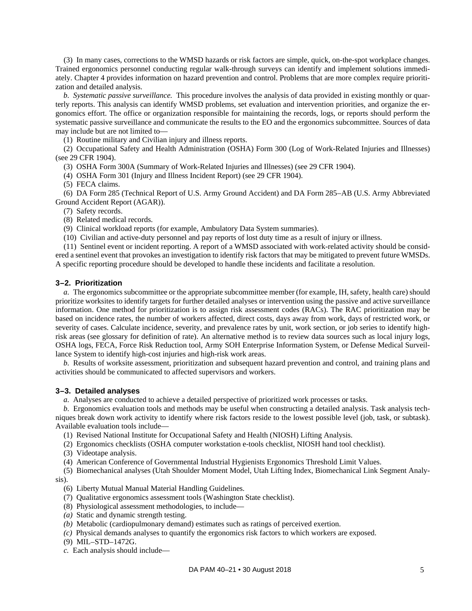(3) In many cases, corrections to the WMSD hazards or risk factors are simple, quick, on-the-spot workplace changes. Trained ergonomics personnel conducting regular walk-through surveys can identify and implement solutions immediately. [Chapter](#page-9-1) 4 provides information on hazard prevention and control. Problems that are more complex require prioritization and detailed analysis.

*b. Systematic passive surveillance.* This procedure involves the analysis of data provided in existing monthly or quarterly reports. This analysis can identify WMSD problems, set evaluation and intervention priorities, and organize the ergonomics effort. The office or organization responsible for maintaining the records, logs, or reports should perform the systematic passive surveillance and communicate the results to the EO and the ergonomics subcommittee. Sources of data may include but are not limited to—

(1) Routine military and Civilian injury and illness reports.

<span id="page-8-2"></span>(2) Occupational Safety and Health Administration (OSHA) Form 300 (Log of Work-Related Injuries and Illnesses) (see 29 CFR 1904).

(3) OSHA Form 300A (Summary of Work-Related Injuries and Illnesses) (see 29 CFR 1904).

(4) OSHA Form 301 (Injury and Illness Incident Report) (see 29 CFR 1904).

(5) FECA claims.

(6) DA Form 285 (Technical Report of U.S. Army Ground Accident) and DA Form 285–AB (U.S. Army Abbreviated Ground Accident Report (AGAR)).

(7) Safety records.

(8) Related medical records.

(9) Clinical workload reports (for example, Ambulatory Data System summaries).

(10) Civilian and active-duty personnel and pay reports of lost duty time as a result of injury or illness.

(11) Sentinel event or incident reporting. A report of a WMSD associated with work-related activity should be considered a sentinel event that provokes an investigation to identify risk factors that may be mitigated to prevent future WMSDs. A specific reporting procedure should be developed to handle these incidents and facilitate a resolution.

#### <span id="page-8-1"></span>**3–2. Prioritization**

*a.* The ergonomics subcommittee or the appropriate subcommittee member (for example, IH, safety, health care) should prioritize worksites to identify targets for further detailed analyses or intervention using the passive and active surveillance information. One method for prioritization is to assign risk assessment codes (RACs). The RAC prioritization may be based on incidence rates, the number of workers affected, direct costs, days away from work, days of restricted work, or severity of cases. Calculate incidence, severity, and prevalence rates by unit, work section, or job series to identify highrisk areas (see [glossary](#page-24-0) for definition of rate). An alternative method is to review data sources such as local injury logs, OSHA logs, FECA, Force Risk Reduction tool, Army SOH Enterprise Information System, or Defense Medical Surveillance System to identify high-cost injuries and high-risk work areas.

*b.* Results of worksite assessment, prioritization and subsequent hazard prevention and control, and training plans and activities should be communicated to affected supervisors and workers.

#### <span id="page-8-0"></span>**3–3. Detailed analyses**

*a.* Analyses are conducted to achieve a detailed perspective of prioritized work processes or tasks.

*b.* Ergonomics evaluation tools and methods may be useful when constructing a detailed analysis. Task analysis techniques break down work activity to identify where risk factors reside to the lowest possible level (job, task, or subtask). Available evaluation tools include—

(1) Revised National Institute for Occupational Safety and Health (NIOSH) Lifting Analysis.

(2) Ergonomics checklists (OSHA computer workstation e-tools checklist, NIOSH hand tool checklist).

(3) Videotape analysis.

(4) American Conference of Governmental Industrial Hygienists Ergonomics Threshold Limit Values.

(5) Biomechanical analyses (Utah Shoulder Moment Model, Utah Lifting Index, Biomechanical Link Segment Analysis).

- (6) Liberty Mutual Manual Material Handling Guidelines.
- (7) Qualitative ergonomics assessment tools (Washington State checklist).
- (8) Physiological assessment methodologies, to include—
- *(a)* Static and dynamic strength testing.
- *(b)* Metabolic (cardiopulmonary demand) estimates such as ratings of perceived exertion.
- *(c)* Physical demands analyses to quantify the ergonomics risk factors to which workers are exposed.
- (9) MIL–STD–1472G.

*c.* Each analysis should include—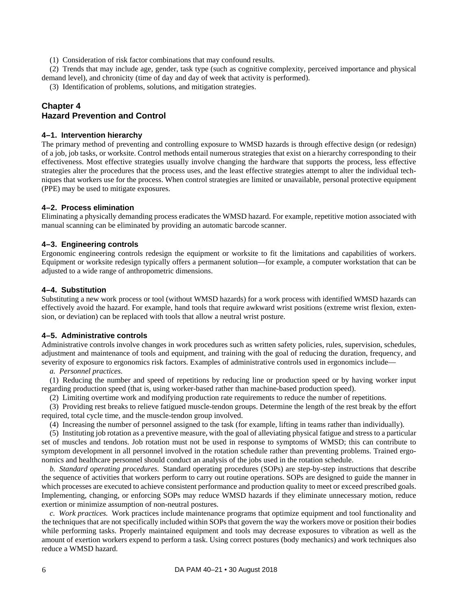(1) Consideration of risk factor combinations that may confound results.

(2) Trends that may include age, gender, task type (such as cognitive complexity, perceived importance and physical demand level), and chronicity (time of day and day of week that activity is performed).

(3) Identification of problems, solutions, and mitigation strategies.

## <span id="page-9-1"></span>**Chapter 4 Hazard Prevention and Control**

#### <span id="page-9-0"></span>**4–1. Intervention hierarchy**

The primary method of preventing and controlling exposure to WMSD hazards is through effective design (or redesign) of a job, job tasks, or worksite. Control methods entail numerous strategies that exist on a hierarchy corresponding to their effectiveness. Most effective strategies usually involve changing the hardware that supports the process, less effective strategies alter the procedures that the process uses, and the least effective strategies attempt to alter the individual techniques that workers use for the process. When control strategies are limited or unavailable, personal protective equipment (PPE) may be used to mitigate exposures.

#### <span id="page-9-2"></span>**4–2. Process elimination**

Eliminating a physically demanding process eradicates the WMSD hazard. For example, repetitive motion associated with manual scanning can be eliminated by providing an automatic barcode scanner.

#### <span id="page-9-3"></span>**4–3. Engineering controls**

Ergonomic engineering controls redesign the equipment or worksite to fit the limitations and capabilities of workers. Equipment or worksite redesign typically offers a permanent solution—for example, a computer workstation that can be adjusted to a wide range of anthropometric dimensions.

#### <span id="page-9-4"></span>**4–4. Substitution**

Substituting a new work process or tool (without WMSD hazards) for a work process with identified WMSD hazards can effectively avoid the hazard. For example, hand tools that require awkward wrist positions (extreme wrist flexion, extension, or deviation) can be replaced with tools that allow a neutral wrist posture.

## <span id="page-9-5"></span>**4–5. Administrative controls**

Administrative controls involve changes in work procedures such as written safety policies, rules, supervision, schedules, adjustment and maintenance of tools and equipment, and training with the goal of reducing the duration, frequency, and severity of exposure to ergonomics risk factors. Examples of administrative controls used in ergonomics include—

#### *a. Personnel practices.*

(1) Reducing the number and speed of repetitions by reducing line or production speed or by having worker input regarding production speed (that is, using worker-based rather than machine-based production speed).

(2) Limiting overtime work and modifying production rate requirements to reduce the number of repetitions.

(3) Providing rest breaks to relieve fatigued muscle-tendon groups. Determine the length of the rest break by the effort required, total cycle time, and the muscle-tendon group involved.

(4) Increasing the number of personnel assigned to the task (for example, lifting in teams rather than individually).

(5) Instituting job rotation as a preventive measure, with the goal of alleviating physical fatigue and stress to a particular set of muscles and tendons. Job rotation must not be used in response to symptoms of WMSD; this can contribute to symptom development in all personnel involved in the rotation schedule rather than preventing problems. Trained ergonomics and healthcare personnel should conduct an analysis of the jobs used in the rotation schedule.

*b. Standard operating procedures.* Standard operating procedures (SOPs) are step-by-step instructions that describe the sequence of activities that workers perform to carry out routine operations. SOPs are designed to guide the manner in which processes are executed to achieve consistent performance and production quality to meet or exceed prescribed goals. Implementing, changing, or enforcing SOPs may reduce WMSD hazards if they eliminate unnecessary motion, reduce exertion or minimize assumption of non-neutral postures.

*c. Work practices.* Work practices include maintenance programs that optimize equipment and tool functionality and the techniques that are not specifically included within SOPs that govern the way the workers move or position their bodies while performing tasks. Properly maintained equipment and tools may decrease exposures to vibration as well as the amount of exertion workers expend to perform a task. Using correct postures (body mechanics) and work techniques also reduce a WMSD hazard.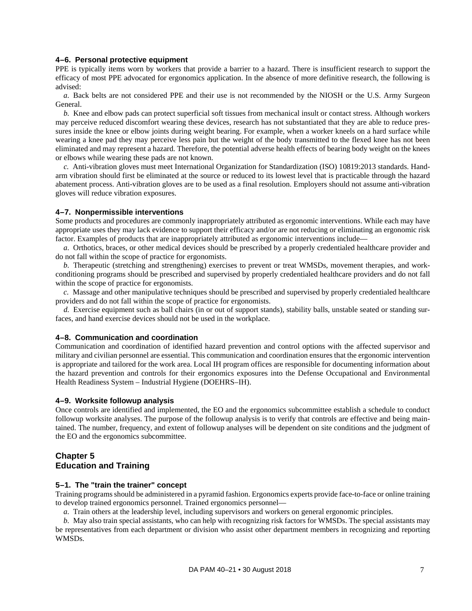#### <span id="page-10-2"></span>**4–6. Personal protective equipment**

PPE is typically items worn by workers that provide a barrier to a hazard. There is insufficient research to support the efficacy of most PPE advocated for ergonomics application. In the absence of more definitive research, the following is advised:

*a.* Back belts are not considered PPE and their use is not recommended by the NIOSH or the U.S. Army Surgeon General.

*b.* Knee and elbow pads can protect superficial soft tissues from mechanical insult or contact stress. Although workers may perceive reduced discomfort wearing these devices, research has not substantiated that they are able to reduce pressures inside the knee or elbow joints during weight bearing. For example, when a worker kneels on a hard surface while wearing a knee pad they may perceive less pain but the weight of the body transmitted to the flexed knee has not been eliminated and may represent a hazard. Therefore, the potential adverse health effects of bearing body weight on the knees or elbows while wearing these pads are not known.

*c.* Anti-vibration gloves must meet International Organization for Standardization (ISO) 10819:2013 standards. Handarm vibration should first be eliminated at the source or reduced to its lowest level that is practicable through the hazard abatement process. Anti-vibration gloves are to be used as a final resolution. Employers should not assume anti-vibration gloves will reduce vibration exposures.

#### <span id="page-10-0"></span>**4–7. Nonpermissible interventions**

Some products and procedures are commonly inappropriately attributed as ergonomic interventions. While each may have appropriate uses they may lack evidence to support their efficacy and/or are not reducing or eliminating an ergonomic risk factor. Examples of products that are inappropriately attributed as ergonomic interventions include—

*a.* Orthotics, braces, or other medical devices should be prescribed by a properly credentialed healthcare provider and do not fall within the scope of practice for ergonomists.

*b.* Therapeutic (stretching and strengthening) exercises to prevent or treat WMSDs, movement therapies, and workconditioning programs should be prescribed and supervised by properly credentialed healthcare providers and do not fall within the scope of practice for ergonomists.

*c.* Massage and other manipulative techniques should be prescribed and supervised by properly credentialed healthcare providers and do not fall within the scope of practice for ergonomists.

*d.* Exercise equipment such as ball chairs (in or out of support stands), stability balls, unstable seated or standing surfaces, and hand exercise devices should not be used in the workplace.

## <span id="page-10-3"></span>**4–8. Communication and coordination**

Communication and coordination of identified hazard prevention and control options with the affected supervisor and military and civilian personnel are essential. This communication and coordination ensures that the ergonomic intervention is appropriate and tailored for the work area. Local IH program offices are responsible for documenting information about the hazard prevention and controls for their ergonomics exposures into the Defense Occupational and Environmental Health Readiness System – Industrial Hygiene (DOEHRS–IH).

#### <span id="page-10-4"></span>**4–9. Worksite followup analysis**

Once controls are identified and implemented, the EO and the ergonomics subcommittee establish a schedule to conduct followup worksite analyses. The purpose of the followup analysis is to verify that controls are effective and being maintained. The number, frequency, and extent of followup analyses will be dependent on site conditions and the judgment of the EO and the ergonomics subcommittee.

## <span id="page-10-1"></span>**Chapter 5 Education and Training**

#### <span id="page-10-5"></span>**5–1. The "train the trainer" concept**

Training programs should be administered in a pyramid fashion. Ergonomics experts provide face-to-face or online training to develop trained ergonomics personnel. Trained ergonomics personnel—

*a.* Train others at the leadership level, including supervisors and workers on general ergonomic principles.

*b.* May also train special assistants, who can help with recognizing risk factors for WMSDs. The special assistants may be representatives from each department or division who assist other department members in recognizing and reporting WMSDs.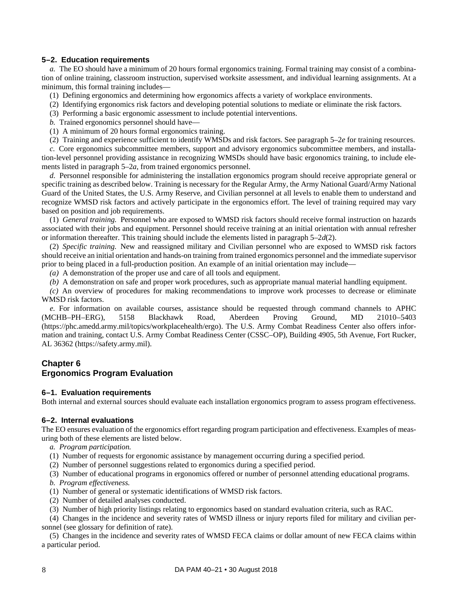## <span id="page-11-1"></span>**5–2. Education requirements**

<span id="page-11-0"></span>*a.* The EO should have a minimum of 20 hours formal ergonomics training. Formal training may consist of a combination of online training, classroom instruction, supervised worksite assessment, and individual learning assignments. At a minimum, this formal training includes—

- (1) Defining ergonomics and determining how ergonomics affects a variety of workplace environments.
- (2) Identifying ergonomics risk factors and developing potential solutions to mediate or eliminate the risk factors.
- (3) Performing a basic ergonomic assessment to include potential interventions.
- *b.* Trained ergonomics personnel should have—
- (1) A minimum of 20 hours formal ergonomics training.
- (2) Training and experience sufficient to identify WMSDs and risk factors. See [paragraph](#page-11-5) 5–2*e* for training resources.

*c.* Core ergonomics subcommittee members, support and advisory ergonomics subcommittee members, and installation-level personnel providing assistance in recognizing WMSDs should have basic ergonomics training, to include elements listed in [paragraph](#page-11-0) 5–2*a*, from trained ergonomics personnel.

*d.* Personnel responsible for administering the installation ergonomics program should receive appropriate general or specific training as described below. Training is necessary for the Regular Army, the Army National Guard/Army National Guard of the United States, the U.S. Army Reserve, and Civilian personnel at all levels to enable them to understand and recognize WMSD risk factors and actively participate in the ergonomics effort. The level of training required may vary based on position and job requirements.

(1) *General training.* Personnel who are exposed to WMSD risk factors should receive formal instruction on hazards associated with their jobs and equipment. Personnel should receive training at an initial orientation with annual refresher or information thereafter. This training should include the elements listed in [paragraph](#page-11-6) 5–2*d*(2).

<span id="page-11-6"></span>(2) *Specific training.* New and reassigned military and Civilian personnel who are exposed to WMSD risk factors should receive an initial orientation and hands-on training from trained ergonomics personnel and the immediate supervisor prior to being placed in a full-production position. An example of an initial orientation may include—

*(a)* A demonstration of the proper use and care of all tools and equipment.

*(b)* A demonstration on safe and proper work procedures, such as appropriate manual material handling equipment.

*(c)* An overview of procedures for making recommendations to improve work processes to decrease or eliminate WMSD risk factors.

<span id="page-11-5"></span>*e.* For information on available courses, assistance should be requested through command channels to APHC (MCHB–PH–ERG), 5158 Blackhawk Road, Aberdeen Proving Ground, MD 21010–5403 [\(https://phc.amedd.army.mil/topics/workplacehealth/ergo\)](https://phc.amedd.army.mil/topics/workplacehealth/ergo). The U.S. Army Combat Readiness Center also offers information and training, contact U.S. Army Combat Readiness Center (CSSC–OP), Building 4905, 5th Avenue, Fort Rucker, AL 36362 [\(https://safety.army.mil\)](https://safety.army.mil/).

## <span id="page-11-2"></span>**Chapter 6 Ergonomics Program Evaluation**

## <span id="page-11-3"></span>**6–1. Evaluation requirements**

<span id="page-11-4"></span>Both internal and external sources should evaluate each installation ergonomics program to assess program effectiveness.

## **6–2. Internal evaluations**

The EO ensures evaluation of the ergonomics effort regarding program participation and effectiveness. Examples of measuring both of these elements are listed below.

- *a. Program participation.*
- (1) Number of requests for ergonomic assistance by management occurring during a specified period.
- (2) Number of personnel suggestions related to ergonomics during a specified period.
- (3) Number of educational programs in ergonomics offered or number of personnel attending educational programs.
- *b. Program effectiveness.*
- (1) Number of general or systematic identifications of WMSD risk factors.
- (2) Number of detailed analyses conducted.
- (3) Number of high priority listings relating to ergonomics based on standard evaluation criteria, such as RAC.
- (4) Changes in the incidence and severity rates of WMSD illness or injury reports filed for military and civilian personnel (see [glossary](#page-24-0) for definition of rate).

(5) Changes in the incidence and severity rates of WMSD FECA claims or dollar amount of new FECA claims within a particular period.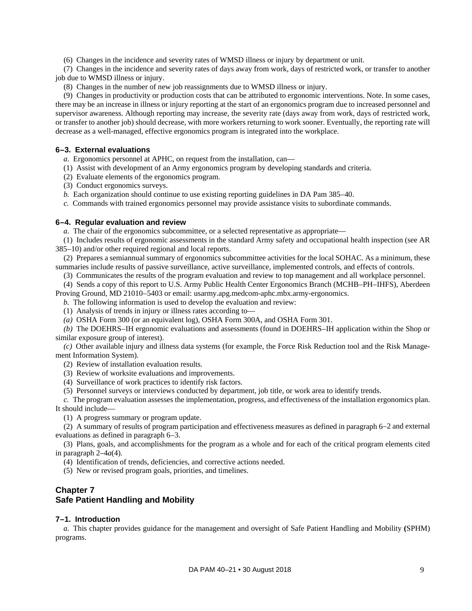(6) Changes in the incidence and severity rates of WMSD illness or injury by department or unit.

(7) Changes in the incidence and severity rates of days away from work, days of restricted work, or transfer to another job due to WMSD illness or injury.

(8) Changes in the number of new job reassignments due to WMSD illness or injury.

(9) Changes in productivity or production costs that can be attributed to ergonomic interventions. Note. In some cases, there may be an increase in illness or injury reporting at the start of an ergonomics program due to increased personnel and supervisor awareness. Although reporting may increase, the severity rate (days away from work, days of restricted work, or transfer to another job) should decrease, with more workers returning to work sooner. Eventually, the reporting rate will decrease as a well-managed, effective ergonomics program is integrated into the workplace.

## <span id="page-12-2"></span>**6–3. External evaluations**

*a.* Ergonomics personnel at APHC, on request from the installation, can—

(1) Assist with development of an Army ergonomics program by developing standards and criteria.

(2) Evaluate elements of the ergonomics program.

(3) Conduct ergonomics surveys.

<span id="page-12-4"></span>*b.* Each organization should continue to use existing reporting guidelines in DA Pam 385–40.

*c.* Commands with trained ergonomics personnel may provide assistance visits to subordinate commands.

## <span id="page-12-0"></span>**6–4. Regular evaluation and review**

*a.* The chair of the ergonomics subcommittee, or a selected representative as appropriate—

(1) Includes results of ergonomic assessments in the standard Army safety and occupational health inspection (see AR 385–10) and/or other required regional and local reports.

(2) Prepares a semiannual summary of ergonomics subcommittee activities for the local SOHAC. As a minimum, these summaries include results of passive surveillance, active surveillance, implemented controls, and effects of controls.

(3) Communicates the results of the program evaluation and review to top management and all workplace personnel.

(4) Sends a copy of this report to U.S. Army Public Health Center Ergonomics Branch (MCHB–PH–IHFS), Aberdeen Proving Ground, MD 21010–5403 or email: usarmy.apg.medcom-aphc.mbx.army-ergonomics.

*b.* The following information is used to develop the evaluation and review:

(1) Analysis of trends in injury or illness rates according to—

*(a)* OSHA Form 300 (or an equivalent log), OSHA Form 300A, and OSHA Form 301.

*(b)* The DOEHRS–IH ergonomic evaluations and assessments (found in DOEHRS–IH application within the Shop or similar exposure group of interest).

*(c)* Other available injury and illness data systems (for example, the Force Risk Reduction tool and the Risk Management Information System).

(2) Review of installation evaluation results.

(3) Review of worksite evaluations and improvements.

(4) Surveillance of work practices to identify risk factors.

(5) Personnel surveys or interviews conducted by department, job title, or work area to identify trends.

*c.* The program evaluation assesses the implementation, progress, and effectiveness of the installation ergonomics plan. It should include—

(1) A progress summary or program update.

(2) A summary of results of program participation and effectiveness measures as defined i[n paragraph](#page-11-4) 6–2 and external evaluations as defined i[n paragraph](#page-12-2) 6–3.

(3) Plans, goals, and accomplishments for the program as a whole and for each of the critical program elements cited in [paragraph](#page-7-5)  $2-4a(4)$ .

(4) Identification of trends, deficiencies, and corrective actions needed.

(5) New or revised program goals, priorities, and timelines.

## <span id="page-12-1"></span>**Chapter 7 Safe Patient Handling and Mobility**

## <span id="page-12-3"></span>**7–1. Introduction**

*a.* This chapter provides guidance for the management and oversight of Safe Patient Handling and Mobility **(**SPHM) programs.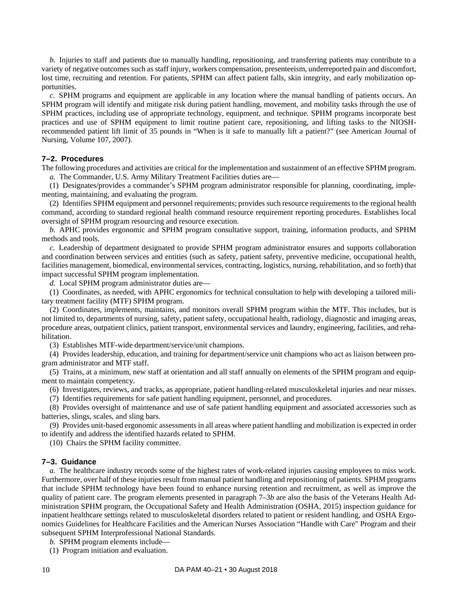*b.* Injuries to staff and patients due to manually handling, repositioning, and transferring patients may contribute to a variety of negative outcomes such as staff injury, workers compensation, presenteeism, underreported pain and discomfort, lost time, recruiting and retention. For patients, SPHM can affect patient falls, skin integrity, and early mobilization opportunities.

*c.* SPHM programs and equipment are applicable in any location where the manual handling of patients occurs. An SPHM program will identify and mitigate risk during patient handling, movement, and mobility tasks through the use of SPHM practices, including use of appropriate technology, equipment, and technique. SPHM programs incorporate best practices and use of SPHM equipment to limit routine patient care, repositioning, and lifting tasks to the NIOSHrecommended patient lift limit of 35 pounds in "When is it safe to manually lift a patient?" (see American Journal of Nursing, Volume 107, 2007).

## <span id="page-13-0"></span>**7–2. Procedures**

The following procedures and activities are critical for the implementation and sustainment of an effective SPHM program. *a.* The Commander, U.S. Army Military Treatment Facilities duties are—

(1) Designates/provides a commander's SPHM program administrator responsible for planning, coordinating, implementing, maintaining, and evaluating the program.

(2) Identifies SPHM equipment and personnel requirements; provides such resource requirements to the regional health command, according to standard regional health command resource requirement reporting procedures. Establishes local oversight of SPHM program resourcing and resource execution.

*b.* APHC provides ergonomic and SPHM program consultative support, training, information products, and SPHM methods and tools.

*c.* Leadership of department designated to provide SPHM program administrator ensures and supports collaboration and coordination between services and entities (such as safety, patient safety, preventive medicine, occupational health, facilities management, biomedical, environmental services, contracting, logistics, nursing, rehabilitation, and so forth) that impact successful SPHM program implementation.

*d.* Local SPHM program administrator duties are—

(1) Coordinates, as needed, with APHC ergonomics for technical consultation to help with developing a tailored military treatment facility (MTF) SPHM program.

(2) Coordinates, implements, maintains, and monitors overall SPHM program within the MTF. This includes, but is not limited to, departments of nursing, safety, patient safety, occupational health, radiology, diagnostic and imaging areas, procedure areas, outpatient clinics, patient transport, environmental services and laundry, engineering, facilities, and rehabilitation.

(3) Establishes MTF-wide department/service/unit champions.

(4) Provides leadership, education, and training for department/service unit champions who act as liaison between program administrator and MTF staff.

(5) Trains, at a minimum, new staff at orientation and all staff annually on elements of the SPHM program and equipment to maintain competency.

(6) Investigates, reviews, and tracks, as appropriate, patient handling-related musculoskeletal injuries and near misses.

(7) Identifies requirements for safe patient handling equipment, personnel, and procedures.

(8) Provides oversight of maintenance and use of safe patient handling equipment and associated accessories such as batteries, slings, scales, and sling bars.

(9) Provides unit-based ergonomic assessments in all areas where patient handling and mobilization is expected in order to identify and address the identified hazards related to SPHM.

(10) Chairs the SPHM facility committee.

## <span id="page-13-1"></span>**7–3. Guidance**

*a.* The healthcare industry records some of the highest rates of work-related injuries causing employees to miss work. Furthermore, over half of these injuries result from manual patient handling and repositioning of patients. SPHM programs that include SPHM technology have been found to enhance nursing retention and recruitment, as well as improve the quality of patient care. The program elements presented in [paragraph](#page-13-2) 7–3*b* are also the basis of the Veterans Health Administration SPHM program, the Occupational Safety and Health Administration (OSHA, 2015) inspection guidance for inpatient healthcare settings related to musculoskeletal disorders related to patient or resident handling, and OSHA Ergonomics Guidelines for Healthcare Facilities and the American Nurses Association "Handle with Care" Program and their subsequent SPHM Interprofessional National Standards.

- <span id="page-13-2"></span>*b.* SPHM program elements include—
- (1) Program initiation and evaluation.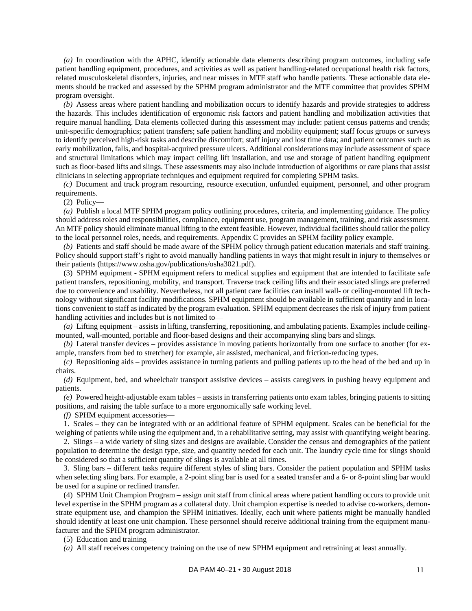*(a)* In coordination with the APHC, identify actionable data elements describing program outcomes, including safe patient handling equipment, procedures, and activities as well as patient handling-related occupational health risk factors, related musculoskeletal disorders, injuries, and near misses in MTF staff who handle patients. These actionable data elements should be tracked and assessed by the SPHM program administrator and the MTF committee that provides SPHM program oversight.

*(b)* Assess areas where patient handling and mobilization occurs to identify hazards and provide strategies to address the hazards. This includes identification of ergonomic risk factors and patient handling and mobilization activities that require manual handling. Data elements collected during this assessment may include: patient census patterns and trends; unit-specific demographics; patient transfers; safe patient handling and mobility equipment; staff focus groups or surveys to identify perceived high-risk tasks and describe discomfort; staff injury and lost time data; and patient outcomes such as early mobilization, falls, and hospital-acquired pressure ulcers. Additional considerations may include assessment of space and structural limitations which may impact ceiling lift installation, and use and storage of patient handling equipment such as floor-based lifts and slings. These assessments may also include introduction of algorithms or care plans that assist clinicians in selecting appropriate techniques and equipment required for completing SPHM tasks.

*(c)* Document and track program resourcing, resource execution, unfunded equipment, personnel, and other program requirements.

(2) Policy—

*(a)* Publish a local MTF SPHM program policy outlining procedures, criteria, and implementing guidance. The policy should address roles and responsibilities, compliance, equipment use, program management, training, and risk assessment. An MTF policy should eliminate manual lifting to the extent feasible. However, individual facilities should tailor the policy to the local personnel roles, needs, and requirements[. Appendix](#page-20-0) C provides an SPHM facility policy example.

*(b)* Patients and staff should be made aware of the SPHM policy through patient education materials and staff training. Policy should support staff's right to avoid manually handling patients in ways that might result in injury to themselves or their patients [\(https://www.osha.gov/publications/osha3021.pdf\)](https://www.osha.gov/publications/osha3021.pdf).

(3) SPHM equipment - SPHM equipment refers to medical supplies and equipment that are intended to facilitate safe patient transfers, repositioning, mobility, and transport. Traverse track ceiling lifts and their associated slings are preferred due to convenience and usability. Nevertheless, not all patient care facilities can install wall- or ceiling-mounted lift technology without significant facility modifications. SPHM equipment should be available in sufficient quantity and in locations convenient to staff as indicated by the program evaluation. SPHM equipment decreases the risk of injury from patient handling activities and includes but is not limited to—

*(a)* Lifting equipment – assists in lifting, transferring, repositioning, and ambulating patients. Examples include ceilingmounted, wall-mounted, portable and floor-based designs and their accompanying sling bars and slings.

*(b)* Lateral transfer devices – provides assistance in moving patients horizontally from one surface to another (for example, transfers from bed to stretcher) for example, air assisted, mechanical, and friction-reducing types.

*(c)* Repositioning aids – provides assistance in turning patients and pulling patients up to the head of the bed and up in chairs.

*(d)* Equipment, bed, and wheelchair transport assistive devices – assists caregivers in pushing heavy equipment and patients.

*(e)* Powered height-adjustable exam tables – assists in transferring patients onto exam tables, bringing patients to sitting positions, and raising the table surface to a more ergonomically safe working level.

*(f)* SPHM equipment accessories—

1. Scales – they can be integrated with or an additional feature of SPHM equipment. Scales can be beneficial for the weighing of patients while using the equipment and, in a rehabilitative setting, may assist with quantifying weight bearing.

2. Slings – a wide variety of sling sizes and designs are available. Consider the census and demographics of the patient population to determine the design type, size, and quantity needed for each unit. The laundry cycle time for slings should be considered so that a sufficient quantity of slings is available at all times.

3. Sling bars – different tasks require different styles of sling bars. Consider the patient population and SPHM tasks when selecting sling bars. For example, a 2-point sling bar is used for a seated transfer and a 6- or 8-point sling bar would be used for a supine or reclined transfer.

(4) SPHM Unit Champion Program – assign unit staff from clinical areas where patient handling occurs to provide unit level expertise in the SPHM program as a collateral duty. Unit champion expertise is needed to advise co-workers, demonstrate equipment use, and champion the SPHM initiatives. Ideally, each unit where patients might be manually handled should identify at least one unit champion. These personnel should receive additional training from the equipment manufacturer and the SPHM program administrator.

(5) Education and training—

*(a)* All staff receives competency training on the use of new SPHM equipment and retraining at least annually.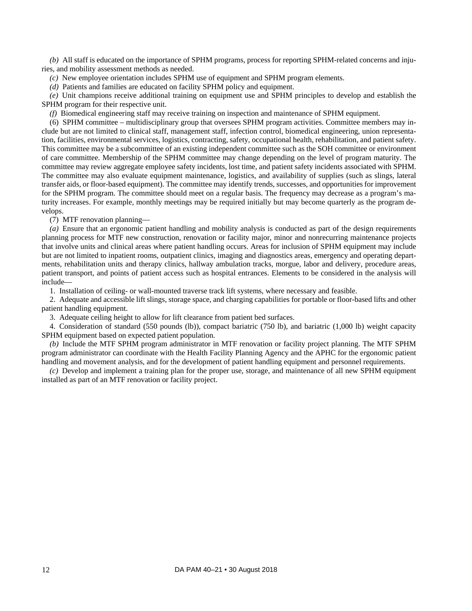*(b)* All staff is educated on the importance of SPHM programs, process for reporting SPHM-related concerns and injuries, and mobility assessment methods as needed.

*(c)* New employee orientation includes SPHM use of equipment and SPHM program elements.

*(d)* Patients and families are educated on facility SPHM policy and equipment.

*(e)* Unit champions receive additional training on equipment use and SPHM principles to develop and establish the SPHM program for their respective unit.

*(f)* Biomedical engineering staff may receive training on inspection and maintenance of SPHM equipment.

(6) SPHM committee – multidisciplinary group that oversees SPHM program activities. Committee members may include but are not limited to clinical staff, management staff, infection control, biomedical engineering, union representation, facilities, environmental services, logistics, contracting, safety, occupational health, rehabilitation, and patient safety. This committee may be a subcommittee of an existing independent committee such as the SOH committee or environment of care committee. Membership of the SPHM committee may change depending on the level of program maturity. The committee may review aggregate employee safety incidents, lost time, and patient safety incidents associated with SPHM. The committee may also evaluate equipment maintenance, logistics, and availability of supplies (such as slings, lateral transfer aids, or floor-based equipment). The committee may identify trends, successes, and opportunities for improvement for the SPHM program. The committee should meet on a regular basis. The frequency may decrease as a program's maturity increases. For example, monthly meetings may be required initially but may become quarterly as the program develops.

(7) MTF renovation planning—

*(a)* Ensure that an ergonomic patient handling and mobility analysis is conducted as part of the design requirements planning process for MTF new construction, renovation or facility major, minor and nonrecurring maintenance projects that involve units and clinical areas where patient handling occurs. Areas for inclusion of SPHM equipment may include but are not limited to inpatient rooms, outpatient clinics, imaging and diagnostics areas, emergency and operating departments, rehabilitation units and therapy clinics, hallway ambulation tracks, morgue, labor and delivery, procedure areas, patient transport, and points of patient access such as hospital entrances. Elements to be considered in the analysis will include—

1. Installation of ceiling- or wall-mounted traverse track lift systems, where necessary and feasible.

2. Adequate and accessible lift slings, storage space, and charging capabilities for portable or floor-based lifts and other patient handling equipment.

3. Adequate ceiling height to allow for lift clearance from patient bed surfaces.

4. Consideration of standard (550 pounds (lb)), compact bariatric (750 lb), and bariatric (1,000 lb) weight capacity SPHM equipment based on expected patient population.

*(b)* Include the MTF SPHM program administrator in MTF renovation or facility project planning. The MTF SPHM program administrator can coordinate with the Health Facility Planning Agency and the APHC for the ergonomic patient handling and movement analysis, and for the development of patient handling equipment and personnel requirements.

*(c)* Develop and implement a training plan for the proper use, storage, and maintenance of all new SPHM equipment installed as part of an MTF renovation or facility project.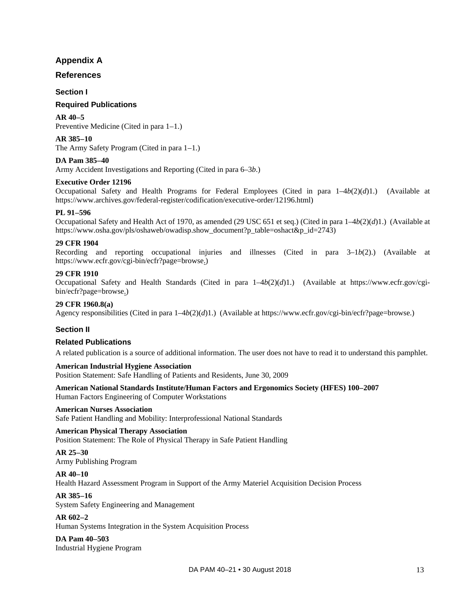## **Appendix A**

## <span id="page-16-0"></span>**References**

## **Section I**

## **Required Publications**

**AR 40–5** Preventive Medicine (Cited in [para 1–1.](#page-4-1))

**AR 385–10**

The Army Safety Program (Cited i[n para 1–1.](#page-4-1))

## **DA Pam 385–40**

Army Accident Investigations and Reporting (Cited in [para 6–3](#page-12-4)*b*.)

## **Executive Order 12196**

Occupational Safety and Health Programs for Federal Employees (Cited in para 1–4*b*(2)(*d*)1.) (Available at [https://www.archives.gov/federal-register/codification/executive-order/12196.html\)](https://www.archives.gov/federal-register/codification/executive-order/12196.html)

## **PL 91–596**

Occupational Safety and Health Act of 1970, as amended (29 USC 651 et seq.) (Cited in para 1–4*b*(2)(*d*)1.) (Available at [https://www.osha.gov/pls/oshaweb/owadisp.show\\_document?p\\_table=oshact&p\\_id=2743\)](https://www.osha.gov/pls/oshaweb/owadisp.show_document?p_table=oshact&p_id=2743)

## **29 CFR 1904**

Recording and reporting occupational injuries and illnesses (Cited in [para 3–1](#page-8-2)*b*(2).) (Available at [https://www.ecfr.gov/cgi-bin/ecfr?page=browse.](https://www.ecfr.gov/cgi-bin/ecfr?page=browse))

#### **29 CFR 1910**

Occupational Safety and Health Standards (Cited in para 1–4*b*(2)(*d*)1.) (Available at [https://www.ecfr.gov/cgi](https://www.ecfr.gov/cgi-bin/ecfr?page=browse)[bin/ecfr?page=browse.](https://www.ecfr.gov/cgi-bin/ecfr?page=browse))

#### **29 CFR 1960.8(a)**

Agency responsibilities (Cited in para 1–4*b*(2)(*d*)1.) (Available a[t https://www.ecfr.gov/cgi-bin/ecfr?page=browse.](https://www.ecfr.gov/cgi-bin/ecfr?page=browse))

## **Section II**

## **Related Publications**

A related publication is a source of additional information. The user does not have to read it to understand this pamphlet.

## **American Industrial Hygiene Association**

Position Statement: Safe Handling of Patients and Residents, June 30, 2009

#### **American National Standards Institute/Human Factors and Ergonomics Society (HFES) 100–2007** Human Factors Engineering of Computer Workstations

## **American Nurses Association**

Safe Patient Handling and Mobility: Interprofessional National Standards

## **American Physical Therapy Association**

Position Statement: The Role of Physical Therapy in Safe Patient Handling

## **AR 25–30**

Army Publishing Program

## **AR 40–10**

Health Hazard Assessment Program in Support of the Army Materiel Acquisition Decision Process

## **AR 385–16**

System Safety Engineering and Management

## **AR 602–2**

Human Systems Integration in the System Acquisition Process

#### **DA Pam 40–503** Industrial Hygiene Program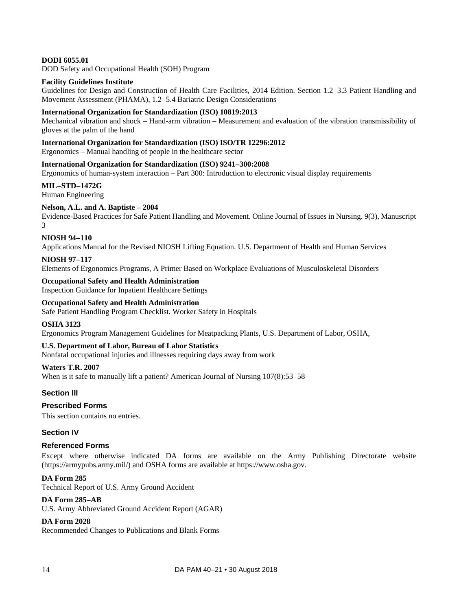## **DODI 6055.01**

DOD Safety and Occupational Health (SOH) Program

#### **Facility Guidelines Institute**

Guidelines for Design and Construction of Health Care Facilities, 2014 Edition. Section 1.2–3.3 Patient Handling and Movement Assessment (PHAMA), 1.2–5.4 Bariatric Design Considerations

#### **International Organization for Standardization (ISO) 10819:2013**

Mechanical vibration and shock – Hand-arm vibration – Measurement and evaluation of the vibration transmissibility of gloves at the palm of the hand

#### **International Organization for Standardization (ISO) ISO/TR 12296:2012**

Ergonomics – Manual handling of people in the healthcare sector

#### **International Organization for Standardization (ISO) 9241–300:2008**

Ergonomics of human-system interaction – Part 300: Introduction to electronic visual display requirements

#### **MIL–STD–1472G**

Human Engineering

#### **Nelson, A.L. and A. Baptiste – 2004**

Evidence-Based Practices for Safe Patient Handling and Movement. Online Journal of Issues in Nursing. 9(3), Manuscript 3

#### **NIOSH 94–110**

Applications Manual for the Revised NIOSH Lifting Equation. U.S. Department of Health and Human Services

#### **NIOSH 97–117**

Elements of Ergonomics Programs, A Primer Based on Workplace Evaluations of Musculoskeletal Disorders

#### **Occupational Safety and Health Administration**

Inspection Guidance for Inpatient Healthcare Settings

#### **Occupational Safety and Health Administration**

Safe Patient Handling Program Checklist. Worker Safety in Hospitals

#### **OSHA 3123**

Ergonomics Program Management Guidelines for Meatpacking Plants, U.S. Department of Labor, OSHA,

#### **U.S. Department of Labor, Bureau of Labor Statistics**

Nonfatal occupational injuries and illnesses requiring days away from work

#### **Waters T.R. 2007**

When is it safe to manually lift a patient? American Journal of Nursing 107(8):53–58

#### **Section III**

#### **Prescribed Forms**

This section contains no entries.

## **Section IV**

#### **Referenced Forms**

Except where otherwise indicated DA forms are available on the Army Publishing Directorate website [\(https://armypubs.army.mil/\)](https://armypubs.army.mil/) and OSHA forms are available a[t https://www.osha.gov.](https://www.osha.gov/)

#### **DA Form 285**

Technical Report of U.S. Army Ground Accident

## **DA Form 285–AB**

U.S. Army Abbreviated Ground Accident Report (AGAR)

## **DA Form 2028**

Recommended Changes to Publications and Blank Forms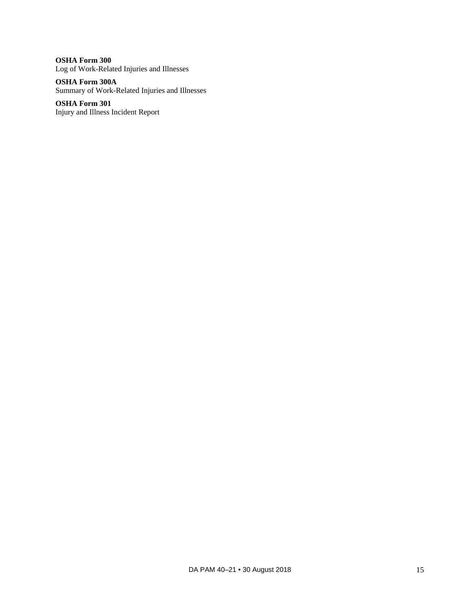**OSHA Form 300** Log of Work-Related Injuries and Illnesses

**OSHA Form 300A** Summary of Work-Related Injuries and Illnesses

**OSHA Form 301** Injury and Illness Incident Report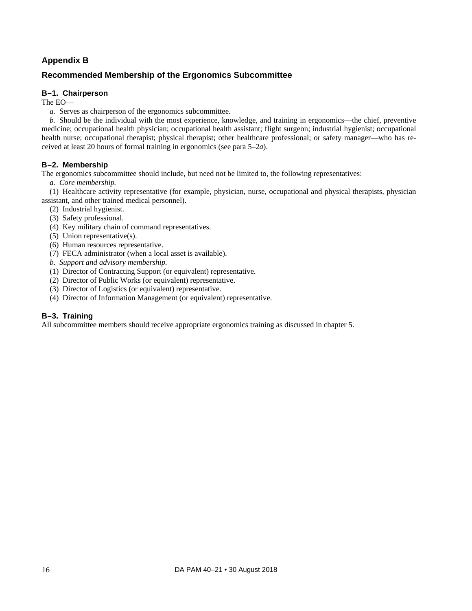## **Appendix B**

## <span id="page-19-0"></span>**Recommended Membership of the Ergonomics Subcommittee**

## **B–1. Chairperson**

The EO—

*a.* Serves as chairperson of the ergonomics subcommittee.

*b.* Should be the individual with the most experience, knowledge, and training in ergonomics—the chief, preventive medicine; occupational health physician; occupational health assistant; flight surgeon; industrial hygienist; occupational health nurse; occupational therapist; physical therapist; other healthcare professional; or safety manager—who has received at least 20 hours of formal training in ergonomics (see [para](#page-11-0) 5–2*a*).

## **B–2. Membership**

The ergonomics subcommittee should include, but need not be limited to, the following representatives:

*a. Core membership.*

(1) Healthcare activity representative (for example, physician, nurse, occupational and physical therapists, physician assistant, and other trained medical personnel).

- (2) Industrial hygienist.
- (3) Safety professional.
- (4) Key military chain of command representatives.
- (5) Union representative(s).
- (6) Human resources representative.
- (7) FECA administrator (when a local asset is available).

*b. Support and advisory membership.*

- (1) Director of Contracting Support (or equivalent) representative.
- (2) Director of Public Works (or equivalent) representative.
- (3) Director of Logistics (or equivalent) representative.
- (4) Director of Information Management (or equivalent) representative.

## **B–3. Training**

All subcommittee members should receive appropriate ergonomics training as discussed in [chapter 5.](#page-10-1)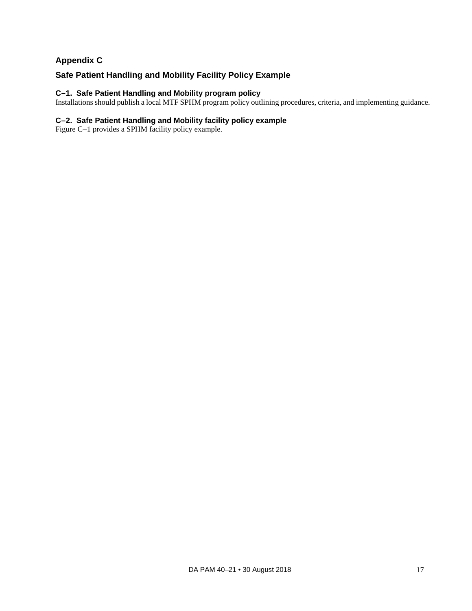## **Appendix C**

## <span id="page-20-0"></span>**Safe Patient Handling and Mobility Facility Policy Example**

## **C–1. Safe Patient Handling and Mobility program policy**

Installations should publish a local MTF SPHM program policy outlining procedures, criteria, and implementing guidance.

## **C–2. Safe Patient Handling and Mobility facility policy example**

[Figure C–1](#page-23-0) provides a SPHM facility policy example.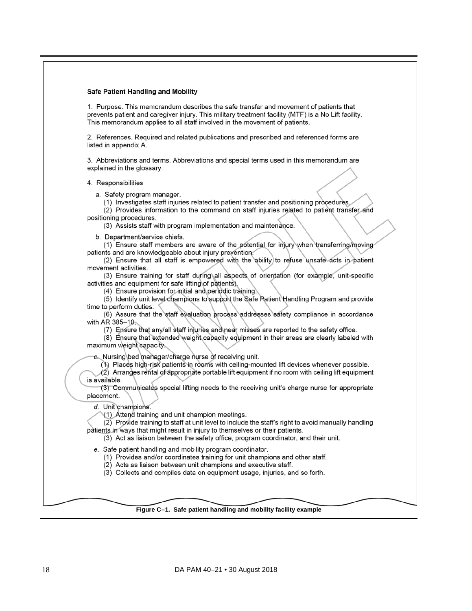#### **Safe Patient Handling and Mobility**

1. Purpose. This memorandum describes the safe transfer and movement of patients that prevents patient and caregiver injury. This military treatment facility (MTF) is a No Lift facility. This memorandum applies to all staff involved in the movement of patients.

2. References. Required and related publications and prescribed and referenced forms are listed in appendix A.

3. Abbreviations and terms. Abbreviations and special terms used in this memorandum are explained in the glossary.

4. Responsibilities

a. Safety program manager.

(1) Investigates staff injuries related to patient transfer and positioning procedures

(2) Provides information to the command on staff injuries related to patient transfer and positioning procedures.

(3) Assists staff with program implementation and maintenance.

b. Department/service chiefs.

(1) Ensure staff members are aware of the potential for injury when transferring/moving patients and are knowledgeable about injury prevention.

(2) Ensure that all staff is empowered with the ability to refuse unsafe acts in patient movement activities.

(3) Ensure training for staff during all aspects of orientation (for example, unit-specific activities and equipment for safe lifting of patients).

(4) Ensure provision for initial and periodic training.

(5) Identify unit level champions to support the Safe Patient Handling Program and provide time to perform duties.

(6) Assure that the staff evaluation process addresses safety compliance in accordance with AR 385-10.

(7) Ensure that any/all staff injuries and near misses are reported to the safety office.

(8) Ensure that extended weight capacity equipment in their areas are clearly labeled with maximum weight capacity.

c. Nursing bed manager/charge nurse of receiving unit.

(1) Places high-risk patients in rooms with ceiling-mounted lift devices whenever possible.

(2) Arranges rental of appropriate portable lift equipment if no room with ceiling lift equipment is available.

(3) Communicates special lifting needs to the receiving unit's charge nurse for appropriate placement.

d. Unit champions.

(1) Attend training and unit champion meetings.

(2) Provide training to staff at unit level to include the staff's right to avoid manually handling patients in ways that might result in injury to themselves or their patients.

(3) Act as liaison between the safety office, program coordinator, and their unit.

e. Safe patient handling and mobility program coordinator.

(1) Provides and/or coordinates training for unit champions and other staff.

(2) Acts as liaison between unit champions and executive staff.

(3) Collects and compiles data on equipment usage, injuries, and so forth.

#### **Figure C–1. Safe patient handling and mobility facility example**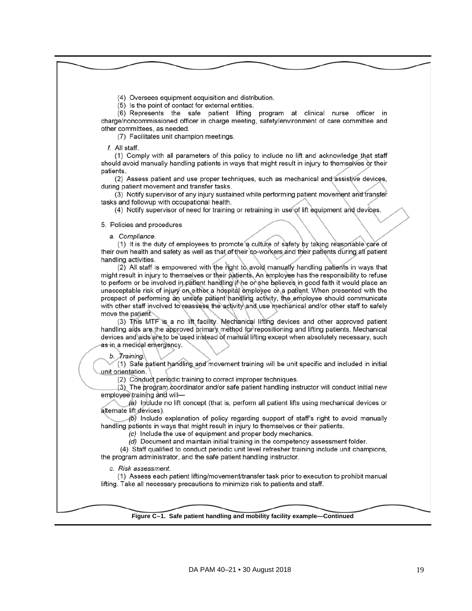(4) Oversees equipment acquisition and distribution.

(5) Is the point of contact for external entities.

(6) Represents the safe patient lifting program at clinical nurse officer in charge/noncommissioned officer in charge meeting, safety/environment of care committee and other committees, as needed.

(7) Facilitates unit champion meetings.

 $f$ . All staff.

(1) Comply with all parameters of this policy to include no lift and acknowledge that staff should avoid manually handling patients in ways that might result in injury to themselves or their patients.

(2) Assess patient and use proper techniques, such as mechanical and assistive devices, during patient movement and transfer tasks.

(3) Notify supervisor of any injury sustained while performing patient movement and transfer tasks and followup with occupational health.

(4) Notify supervisor of need for training or retraining in use of lift equipment and devices.

5. Policies and procedures

a. Compliance.

(1) It is the duty of employees to promote a culture of safety by taking reasonable care of their own health and safety as well as that of their co-workers and their patients during all patient handling activities.

(2) All staff is empowered with the right to avoid manually handling patients in ways that might result in injury to themselves or their patients. An employee has the responsibility to refuse to perform or be involved in patient handling if he or she believes in good faith it would place an unacceptable risk of injury on either a hospital employee or a patient. When presented with the prospect of performing an unsafe patient handling activity, the employee should communicate with other staff involved to reassess the activity and use mechanical and/or other staff to safely move the patient.

(3) This MTF is a no lift facility. Mechanical lifting devices and other approved patient handling aids are the approved primary method for repositioning and lifting patients. Mechanical devices and aids are to be used instead of manual lifting except when absolutely necessary, such as in a medical emergency.

b. Training.

(1) Safe patient handling and movement training will be unit specific and included in initial unit orientation.

(2) Conduct periodic training to correct improper techniques.

(3) The program coordinator and/or safe patient handling instructor will conduct initial new employee training and will-

(a) Include no lift concept (that is, perform all patient lifts using mechanical devices or alternate lift devices).

 $(b)$  Include explanation of policy regarding support of staff's right to avoid manually handling patients in ways that might result in injury to themselves or their patients.

(c) Include the use of equipment and proper body mechanics.

(d) Document and maintain initial training in the competency assessment folder.

(4) Staff qualified to conduct periodic unit level refresher training include unit champions, the program administrator, and the safe patient handling instructor.

c. Risk assessment.

(1) Assess each patient lifting/movement/transfer task prior to execution to prohibit manual lifting. Take all necessary precautions to minimize risk to patients and staff.

**Figure C–1. Safe patient handling and mobility facility example—Continued**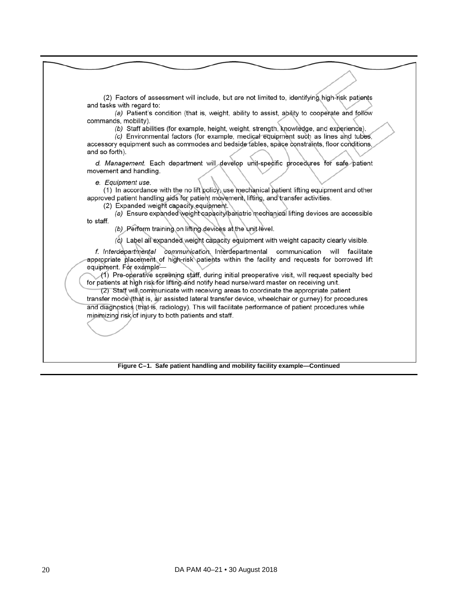<span id="page-23-0"></span>(2) Factors of assessment will include, but are not limited to, identifying high-risk patients and tasks with regard to:

(a) Patient's condition (that is, weight, ability to assist, ability to cooperate and follow commands, mobility).

(b) Staff abilities (for example, height, weight, strength, knowledge, and experience).

(c) Environmental factors (for example, medical equipment such as lines and tubes, accessory equipment such as commodes and bedside tables, space constraints, floor conditions, and so forth).

d. Management. Each department will develop unit-specific procedures for safe patient movement and handling.

e. Equipment use.

(1) In accordance with the no lift policy, use mechanical patient lifting equipment and other approved patient handling aids for patient movement, lifting, and transfer activities.

(2) Expanded weight capacity equipment.

(a) Ensure expanded weight capacity/bariatric mechanical lifting devices are accessible to staff.

(b) Perform training on lifting devices at the unit level.

(c) Label all expanded weight capacity equipment with weight capacity clearly visible.

f. Interdepartmental communication. Interdepartmental communication will facilitate appropriate placement of high-risk patients within the facility and requests for borrowed lift equipment. For example-

(1) Pre-operative screening staff, during initial preoperative visit, will request specialty bed for patients at high risk for lifting and notify head nurse/ward master on receiving unit.

(2) Staff will communicate with receiving areas to coordinate the appropriate patient transfer mode (that is, air assisted lateral transfer device, wheelchair or gurney) for procedures and diagnostics (that is, radiology). This will facilitate performance of patient procedures while minimizing risk of injury to both patients and staff.

**Figure C–1. Safe patient handling and mobility facility example—Continued**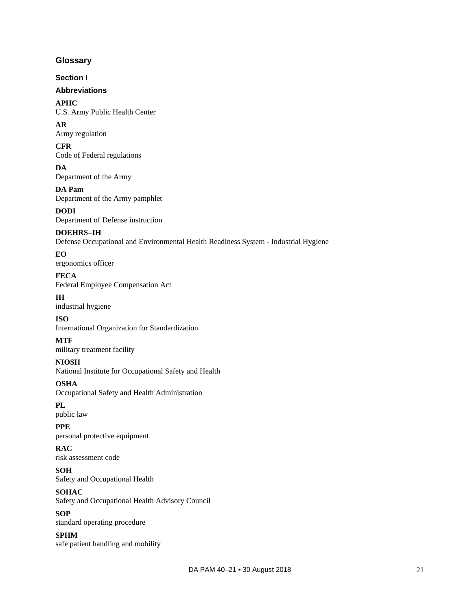## <span id="page-24-0"></span>**Glossary**

**Section I**

## **Abbreviations**

**APHC** U.S. Army Public Health Center

**AR** Army regulation

**CFR** Code of Federal regulations

**DA** Department of the Army

**DA Pam** Department of the Army pamphlet

**DODI** Department of Defense instruction

## **DOEHRS–IH**

Defense Occupational and Environmental Health Readiness System - Industrial Hygiene

**EO** ergonomics officer

**FECA** Federal Employee Compensation Act

## **IH**

industrial hygiene

## **ISO**

International Organization for Standardization

## **MTF**

military treatment facility

## **NIOSH**

National Institute for Occupational Safety and Health

**OSHA**

Occupational Safety and Health Administration

**PL** public law

## **PPE**

personal protective equipment

**RAC** risk assessment code

**SOH** Safety and Occupational Health

## **SOHAC**

Safety and Occupational Health Advisory Council

## **SOP**

standard operating procedure

## **SPHM**

safe patient handling and mobility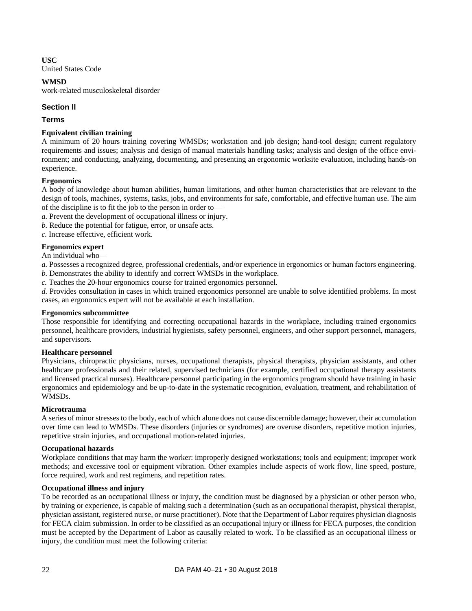**USC**

United States Code

## **WMSD**

work-related musculoskeletal disorder

## **Section II**

## **Terms**

## **Equivalent civilian training**

A minimum of 20 hours training covering WMSDs; workstation and job design; hand-tool design; current regulatory requirements and issues; analysis and design of manual materials handling tasks; analysis and design of the office environment; and conducting, analyzing, documenting, and presenting an ergonomic worksite evaluation, including hands-on experience.

## **Ergonomics**

A body of knowledge about human abilities, human limitations, and other human characteristics that are relevant to the design of tools, machines, systems, tasks, jobs, and environments for safe, comfortable, and effective human use. The aim of the discipline is to fit the job to the person in order to—

*a.* Prevent the development of occupational illness or injury.

*b.* Reduce the potential for fatigue, error, or unsafe acts.

*c.* Increase effective, efficient work.

## **Ergonomics expert**

An individual who—

*a.* Possesses a recognized degree, professional credentials, and/or experience in ergonomics or human factors engineering.

*b.* Demonstrates the ability to identify and correct WMSDs in the workplace.

*c.* Teaches the 20-hour ergonomics course for trained ergonomics personnel.

*d.* Provides consultation in cases in which trained ergonomics personnel are unable to solve identified problems. In most cases, an ergonomics expert will not be available at each installation.

## **Ergonomics subcommittee**

Those responsible for identifying and correcting occupational hazards in the workplace, including trained ergonomics personnel, healthcare providers, industrial hygienists, safety personnel, engineers, and other support personnel, managers, and supervisors.

## **Healthcare personnel**

Physicians, chiropractic physicians, nurses, occupational therapists, physical therapists, physician assistants, and other healthcare professionals and their related, supervised technicians (for example, certified occupational therapy assistants and licensed practical nurses). Healthcare personnel participating in the ergonomics program should have training in basic ergonomics and epidemiology and be up-to-date in the systematic recognition, evaluation, treatment, and rehabilitation of WMSDs.

## **Microtrauma**

A series of minor stresses to the body, each of which alone does not cause discernible damage; however, their accumulation over time can lead to WMSDs. These disorders (injuries or syndromes) are overuse disorders, repetitive motion injuries, repetitive strain injuries, and occupational motion-related injuries.

## **Occupational hazards**

Workplace conditions that may harm the worker: improperly designed workstations; tools and equipment; improper work methods; and excessive tool or equipment vibration. Other examples include aspects of work flow, line speed, posture, force required, work and rest regimens, and repetition rates.

## **Occupational illness and injury**

To be recorded as an occupational illness or injury, the condition must be diagnosed by a physician or other person who, by training or experience, is capable of making such a determination (such as an occupational therapist, physical therapist, physician assistant, registered nurse, or nurse practitioner). Note that the Department of Labor requires physician diagnosis for FECA claim submission. In order to be classified as an occupational injury or illness for FECA purposes, the condition must be accepted by the Department of Labor as causally related to work. To be classified as an occupational illness or injury, the condition must meet the following criteria: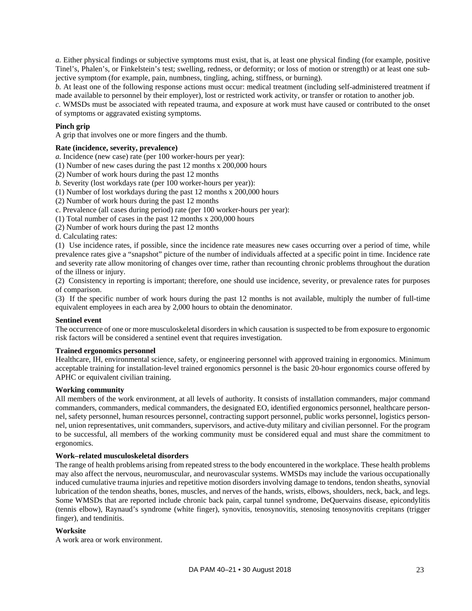*a.* Either physical findings or subjective symptoms must exist, that is, at least one physical finding (for example, positive Tinel's, Phalen's, or Finkelstein's test; swelling, redness, or deformity; or loss of motion or strength) or at least one subjective symptom (for example, pain, numbness, tingling, aching, stiffness, or burning).

*b.* At least one of the following response actions must occur: medical treatment (including self-administered treatment if made available to personnel by their employer), lost or restricted work activity, or transfer or rotation to another job.

*c.* WMSDs must be associated with repeated trauma, and exposure at work must have caused or contributed to the onset of symptoms or aggravated existing symptoms.

#### **Pinch grip**

A grip that involves one or more fingers and the thumb.

#### **Rate (incidence, severity, prevalence)**

*a.* Incidence (new case) rate (per 100 worker-hours per year):

(1) Number of new cases during the past 12 months x 200,000 hours

(2) Number of work hours during the past 12 months

*b.* Severity (lost workdays rate (per 100 worker-hours per year)):

(1) Number of lost workdays during the past 12 months x 200,000 hours

(2) Number of work hours during the past 12 months

c. Prevalence (all cases during period) rate (per 100 worker-hours per year):

(1) Total number of cases in the past 12 months x 200,000 hours

(2) Number of work hours during the past 12 months

d. Calculating rates:

(1) Use incidence rates, if possible, since the incidence rate measures new cases occurring over a period of time, while prevalence rates give a "snapshot" picture of the number of individuals affected at a specific point in time. Incidence rate and severity rate allow monitoring of changes over time, rather than recounting chronic problems throughout the duration of the illness or injury.

(2) Consistency in reporting is important; therefore, one should use incidence, severity, or prevalence rates for purposes of comparison.

(3) If the specific number of work hours during the past 12 months is not available, multiply the number of full-time equivalent employees in each area by 2,000 hours to obtain the denominator.

#### **Sentinel event**

The occurrence of one or more musculoskeletal disorders in which causation is suspected to be from exposure to ergonomic risk factors will be considered a sentinel event that requires investigation.

#### **Trained ergonomics personnel**

Healthcare, IH, environmental science, safety, or engineering personnel with approved training in ergonomics. Minimum acceptable training for installation-level trained ergonomics personnel is the basic 20-hour ergonomics course offered by APHC or equivalent civilian training.

#### **Working community**

All members of the work environment, at all levels of authority. It consists of installation commanders, major command commanders, commanders, medical commanders, the designated EO, identified ergonomics personnel, healthcare personnel, safety personnel, human resources personnel, contracting support personnel, public works personnel, logistics personnel, union representatives, unit commanders, supervisors, and active-duty military and civilian personnel. For the program to be successful, all members of the working community must be considered equal and must share the commitment to ergonomics.

#### **Work–related musculoskeletal disorders**

The range of health problems arising from repeated stress to the body encountered in the workplace. These health problems may also affect the nervous, neuromuscular, and neurovascular systems. WMSDs may include the various occupationally induced cumulative trauma injuries and repetitive motion disorders involving damage to tendons, tendon sheaths, synovial lubrication of the tendon sheaths, bones, muscles, and nerves of the hands, wrists, elbows, shoulders, neck, back, and legs. Some WMSDs that are reported include chronic back pain, carpal tunnel syndrome, DeQuervains disease, epicondylitis (tennis elbow), Raynaud's syndrome (white finger), synovitis, tenosynovitis, stenosing tenosynovitis crepitans (trigger finger), and tendinitis.

#### **Worksite**

A work area or work environment.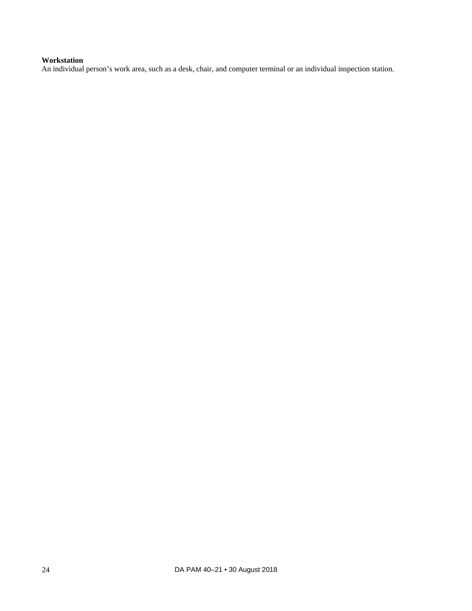## **Workstation**

An individual person's work area, such as a desk, chair, and computer terminal or an individual inspection station.